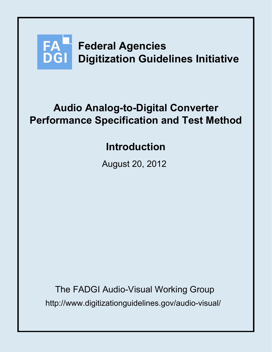

# **Audio Analog-to-Digital Converter Performance Specification and Test Method**

# **Introduction**

August 20, 2012

http://www.digitizationguidelines.gov/audio-visual/ The FADGI Audio-Visual Working Group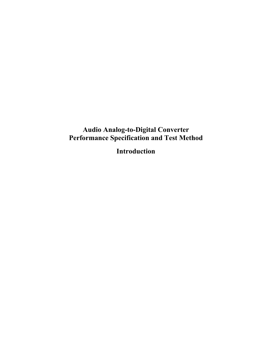## **Audio Analog-to-Digital Converter Performance Specification and Test Method**

**Introduction**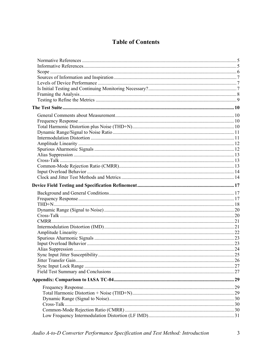## **Table of Contents**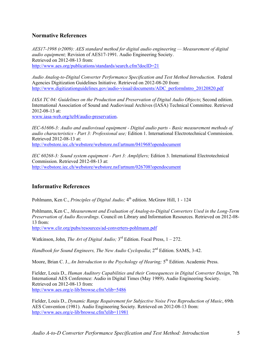## **Normative References**

*AES17-1998 (r2009): AES standard method for digital audio engineering — Measurement of digital audio equipment;* Revision of AES17-1991. Audio Engineering Society. Retrieved on 2012-08-13 from: http://www.aes.org/publications/standards/search.cfm?docID=21

*Audio Analog-to-Digital Converter Performance Specification and Test Method Introduction*. Federal Agencies Digitization Guidelines Initiative. Retrieved on 2012-08-20 from: http://www.digitizationguidelines.gov/audio-visual/documents/ADC\_performIntro\_20120820.pdf

*IASA TC 04: Guidelines on the Production and Preservation of Digital Audio Objects*; Second edition. International Association of Sound and Audiovisual Archives (IASA) Technical Committee. Retrieved 2012-08-13 at:

www.iasa-web.org/tc04/audio-preservation.

*IEC-61606-3: Audio and audiovisual equipment - Digital audio parts - Basic measurement methods of audio characteristics - Part 3: Professional use;* Edition 1. International Electrotechnical Commission. Retrieved 2012-08-13 at:

http://webstore.iec.ch/webstore/webstore.nsf/artnum/041968!opendocument

*IEC 60268-3: Sound system equipment - Part 3: Amplifiers;* Edition 3. International Electrotechnical Commission. Retrieved 2012-08-13 at: http://webstore.iec.ch/webstore/webstore.nsf/artnum/026708!opendocument

## **Informative References**

Pohlmann, Ken C., *Principles of Digital Audio*; 4<sup>th</sup> edition. McGraw Hill, 1 - 124

Pohlmann, Ken C., *Measurement and Evaluation of Analog-to-Digital Converters Used in the Long-Term Preservation of Audio Recordings*. Council on Library and Information Resources. Retrieved on 2012-08- 13 from:

http://www.clir.org/pubs/resources/ad-converters-pohlmann.pdf

Watkinson, John, *The Art of Digital Audio*; 3<sup>rd</sup> Edition. Focal Press, 1 – 272.

*Handbook for Sound Engineers, The New Audio Cyclopedia*; 2<sup>nd</sup> Edition. SAMS, 3-42.

Moore, Brian C. J., *An Introduction to the Psychology of Hearing*; 5<sup>th</sup> Edition. Academic Press.

Fielder, Louis D., *Human Auditory Capabilities and their Consequences in Digital Converter Design*, 7th International AES Conference: Audio in Digital Times (May 1989). Audio Engineering Society. Retrieved on 2012-08-13 from: http://www.aes.org/e-lib/browse.cfm?elib=5486

Fielder, Louis D., *Dynamic Range Requirement for Subjective Noise Free Reproduction of Music*, 69th AES Convention (1981). Audio Engineering Society. Retrieved on 2012-08-13 from: http://www.aes.org/e-lib/browse.cfm?elib=11981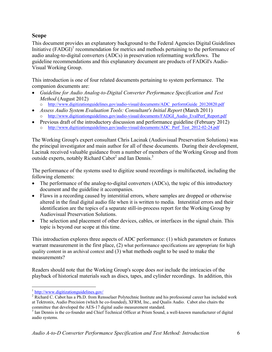## **Scope**

This document provides an explanatory background to the Federal Agencies Digital Guidelines Initiative (FADGI)<sup>1</sup> recommendation for metrics and methods pertaining to the performance of audio analog-to-digital converters (ADCs) in preservation reformatting workflows. The guideline recommendations and this explanatory document are products of FADGI's Audio-Visual Working Group.

This introduction is one of four related documents pertaining to system performance. The companion documents are:

- *Guideline for Audio Analog-to-Digital Converter Performance Specification and Test Method* (August 2012)
	- o http://www.digitizationguidelines.gov/audio-visual/documents/ADC\_performGuide\_20120820.pdf
- *Assess Audio System Evaluation Tools: Consultant's Initial Report* (March 2011) o http://www.digitizationguidelines.gov/audio-visual/documents/FADGI\_Audio\_EvalPerf\_Report.pdf
- Previous draft of the introductory discussion and performance guideline (February 2012) o http://www.digitizationguidelines.gov/audio-visual/documents/ADC\_Perf\_Test\_2012-02-24.pdf

The Working Group's expert consultant Chris Lacinak (Audiovisual Preservation Solutions) was the principal investigator and main author for all of these documents. During their development, Lacinak received valuable guidance from a number of members of the Working Group and from outside experts, notably Richard Cabot<sup>2</sup> and Ian Dennis.<sup>3</sup>

The performance of the systems used to digitize sound recordings is multifaceted, including the following elements:

- The performance of the analog-to-digital converters (ADCs), the topic of this introductory document and the guideline it accompanies.
- Flaws in a recording caused by interstitial errors, where samples are dropped or otherwise altered in the final digital audio file when it is written to media. Interstitial errors and their identification are the topics of a separate still-in-process report for the Working Group by Audiovisual Preservation Solutions.
- The selection and placement of other devices, cables, or interfaces in the signal chain. This topic is beyond our scope at this time.

This introduction explores three aspects of ADC performance: (1) which parameters or features warrant measurement in the first place, (2) what performance specifications are appropriate for high quality content in an archival context and (3) what methods ought to be used to make the measurements?

Readers should note that the Working Group's scope does *not* include the intricacies of the playback of historical materials such as discs, tapes, and cylinder recordings. In addition, this

1

 $\frac{1}{2}$  http://www.digitizationguidelines.gov/

<sup>&</sup>lt;sup>2</sup> Richard C. Cabot has a Ph.D. from Rensselaer Polytechnic Institute and his professional career has included work at Tektronix, Audio Precision (which he co-founded), XFRM, Inc., and Qualis Audio. Cabot also chairs the committee that developed the AES-17 digital audio measurement standard.

<sup>&</sup>lt;sup>3</sup> Ian Dennis is the co-founder and Chief Technical Officer at Prism Sound, a well-known manufacturer of digital audio systems.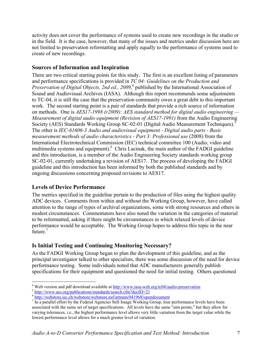activity does not cover the performance of systems used to create new recordings in the studio or in the field. It is the case, however, that many of the issues and metrics under discussion here are not limited to preservation reformatting and apply equally to the performance of systems used to create of new recordings.

## **Sources of Information and Inspiration**

There are two critical starting points for this study. The first is an excellent listing of parameters and performance specifications is provided in *TC 04: Guidelines on the Production and*  Preservation of Digital Objects, 2nd ed., 2009,<sup>4</sup> published by the International Association of Sound and Audiovisual Archives (IASA). Although this report recommends some adjustments to TC-04, it is still the case that the preservation community owes a great debt to this important work. The second starting point is a pair of standards that provide a rich source of information on methods. One is *AES17-1998 (r2009): AES standard method for digital audio engineering — Measurement of digital audio equipment (Revision of AES17-1991)* from the Audio Engineering Society (AES) Standards Working Group SC-02-01 (Digital Audio Measurement Techniques).5 The other is *IEC-61606-3 Audio and audiovisual equipment - Digital audio parts - Basic measurement methods of audio characteristics - Part 3: Professional use* (2008) from the International Electrotechnical Commission (IEC) technical committee 100 (Audio, video and multimedia systems and equipment). <sup>6</sup> Chris Lacinak, the main author of the FADGI guideline and this introduction, is a member of the Audio Engineering Society standards working group SC-02-01, currently undertaking a revision of AES17. The process of developing the FADGI guideline and this introduction has been informed by both the published standards and by ongoing discussions concerning proposed revisions to AES17.

## **Levels of Device Performance**

The metrics specified in the guideline pertain to the production of files using the highest quality ADC devices. Comments from within and without the Working Group, however, have called attention to the range of types of archival organizations, some with strong resources and others in modest circumstances. Commentators have also noted the variation in the categories of material to be reformatted, asking if there might be circumstances in which relaxed levels of device performance would be acceptable. The Working Group hopes to address this topic in the near future.<sup>7</sup>

## **Is Initial Testing and Continuing Monitoring Necessary?**

As the FADGI Working Group began to plan the development of this guideline, and as the principal investigator talked to other specialists, there was some discussion of the need for device performance testing. Some individuals noted that ADC manufacturers generally publish specifications for their equipment and questioned the need for initial testing. Others questioned

 $\overline{a}$ <sup>4</sup> Web version and pdf download available at <u>http://www.iasa-web.org/tc04/audio-preservation</u><br>  $\frac{5 \text{ http://www.aes.org/publications/standards/search.cfm?docID=21}}{\text{http://webstoreieie.c.h/webstore/webstore.msf/artnum/041968!opendocument}}$ <br>  $\frac{6 \text{http://webstoreie.c.h/webstore/webstore.msf/artnum/041968!opendocument}}{\text{7} \text{ In a overall of fort by the Eederal A series}$ 

 $<sup>7</sup>$  In a parallel effort by the Federal Agencies Still Image Working Group, four performance levels have been</sup> associated with the same set of target specifications. All levels have the same "aim points," but they allow for varying tolerances, i.e., the highest performance level allows very little variation from the target value while the lowest performance level allows for a much greater level of variation.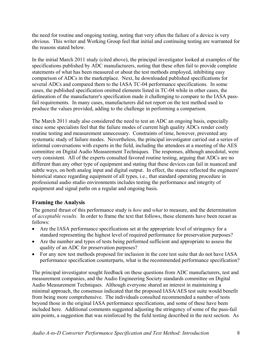the need for routine and ongoing testing, noting that very often the failure of a device is very obvious. This writer and Working Group feel that initial and continuing testing are warranted for the reasons stated below.

In the initial March 2011 study (cited above), the principal investigator looked at examples of the specifications published by ADC manufacturers, noting that these often fail to provide complete statements of what has been measured or about the test methods employed, inhibiting easy comparison of ADCs in the marketplace. Next, he downloaded published specifications for several ADCs and compared them to the IASA TC-04 performance specifications. In some cases, the published specification omitted elements listed in TC-04 while in other cases, the delineation of the manufacturer's specification made it challenging to compare to the IASA passfail requirements. In many cases, manufacturers did not report on the test method used to produce the values provided, adding to the challenge in performing a comparison.

The March 2011 study also considered the need to test an ADC an ongoing basis, especially since some specialists feel that the failure modes of current high quality ADCs render costly routine testing and measurement unnecessary. Constraints of time, however, prevented any systematic study of failure modes. Nevertheless, the principal investigator carried out a series of informal conversations with experts in the field, including the attendees at a meeting of the AES committee on Digital Audio Measurement Techniques. The responses, although anecdotal, were very consistent. All of the experts consulted favored routine testing, arguing that ADCs are no different than any other type of equipment and stating that these devices can fail in nuanced and subtle ways, on both analog input and digital output. In effect, the stance reflected the engineers' historical stance regarding equipment of all types, i.e., that standard operating procedure in professional audio studio environments includes testing the performance and integrity of equipment and signal paths on a regular and ongoing basis.

## **Framing the Analysis**

The general thrust of this performance study is *how* and *what* to measure, and the determination of *acceptable results*. In order to frame the text that follows, these elements have been recast as follows:

- Are the IASA performance specifications set at the appropriate level of stringency for a standard representing the highest level of required performance for preservation purposes?
- Are the number and types of tests being performed sufficient and appropriate to assess the quality of an ADC for preservation purposes?
- For any new test methods proposed for inclusion in the core test suite that do not have IASA performance specification counterparts, what is the recommended performance specification?

The principal investigator sought feedback on these questions from ADC manufacturers, test and measurement companies, and the Audio Engineering Society standards committee on Digital Audio Measurement Techniques. Although everyone shared an interest in maintaining a minimal approach, the consensus indicated that the proposed IASA/AES test suite would benefit from being more comprehensive. The individuals consulted recommended a number of tests beyond those in the original IASA performance specifications, and some of these have been included here. Additional comments suggested adjusting the stringency of some of the pass-fail aim points, a suggestion that was reinforced by the field testing described in the next section. As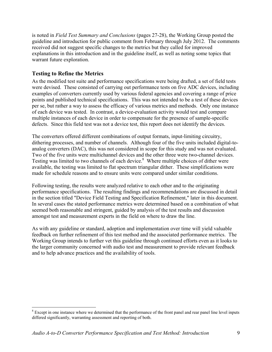is noted in *Field Test Summary and Conclusions* (pages 27-28), the Working Group posted the guideline and introduction for public comment from February through July 2012. The comments received did not suggest specific changes to the metrics but they called for improved explanations in this introduction and in the guideline itself, as well as noting some topics that warrant future exploration.

## **Testing to Refine the Metrics**

 $\overline{a}$ 

As the modified test suite and performance specifications were being drafted, a set of field tests were devised. These consisted of carrying out performance tests on five ADC devices, including examples of converters currently used by various federal agencies and covering a range of price points and published technical specifications. This was not intended to be a test of these devices per se, but rather a way to assess the efficacy of various metrics and methods. Only one instance of each device was tested. In contrast, a device-evaluation activity would test and compare multiple instances of each device in order to compensate for the presence of sample-specific defects. Since this field test was not a device test, this report does not identify the devices.

The converters offered different combinations of output formats, input-limiting circuitry, dithering processes, and number of channels. Although four of the five units included digital-toanalog converters (DAC), this was not considered in scope for this study and was not evaluated. Two of the five units were multichannel devices and the other three were two-channel devices. Testing was limited to two channels of each device.<sup>8</sup> Where multiple choices of dither were available, the testing was limited to flat spectrum triangular dither. These simplifications were made for schedule reasons and to ensure units were compared under similar conditions.

Following testing, the results were analyzed relative to each other and to the originating performance specifications. The resulting findings and recommendations are discussed in detail in the section titled "Device Field Testing and Specification Refinement," later in this document. In several cases the stated performance metrics were determined based on a combination of what seemed both reasonable and stringent, guided by analysis of the test results and discussion amongst test and measurement experts in the field on where to draw the line.

As with any guideline or standard, adoption and implementation over time will yield valuable feedback on further refinement of this test method and the associated performance metrics. The Working Group intends to further vet this guideline through continued efforts even as it looks to the larger community concerned with audio test and measurement to provide relevant feedback and to help advance practices and the availability of tools.

 $8$  Except in one instance where we determined that the performance of the front panel and rear panel line level inputs differed significantly, warranting assessment and reporting of both.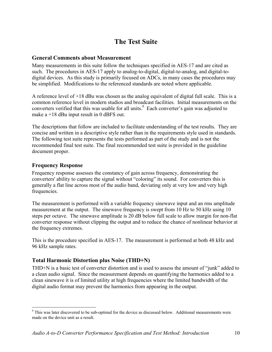# **The Test Suite**

## **General Comments about Measurement**

Many measurements in this suite follow the techniques specified in AES-17 and are cited as such. The procedures in AES-17 apply to analog-to-digital, digital-to-analog, and digital-todigital devices. As this study is primarily focused on ADCs, in many cases the procedures may be simplified. Modifications to the referenced standards are noted where applicable.

A reference level of +18 dBu was chosen as the analog equivalent of digital full scale. This is a common reference level in modern studios and broadcast facilities. Initial measurements on the converters verified that this was usable for all units. $9$  Each converter's gain was adjusted to make a +18 dBu input result in 0 dBFS out.

The descriptions that follow are included to facilitate understanding of the test results. They are concise and written in a descriptive style rather than in the requirements style used in standards. The following test suite represents the tests performed as part of the study and is not the recommended final test suite. The final recommended test suite is provided in the guideline document proper.

## **Frequency Response**

 $\overline{a}$ 

Frequency response assesses the constancy of gain across frequency, demonstrating the converters' ability to capture the signal without "coloring" its sound. For converters this is generally a flat line across most of the audio band, deviating only at very low and very high frequencies.

The measurement is performed with a variable frequency sinewave input and an rms amplitude measurement at the output. The sinewave frequency is swept from 10 Hz to 50 kHz using 10 steps per octave. The sinewave amplitude is 20 dB below full scale to allow margin for non-flat converter response without clipping the output and to reduce the chance of nonlinear behavior at the frequency extremes.

This is the procedure specified in AES-17. The measurement is performed at both 48 kHz and 96 kHz sample rates.

## **Total Harmonic Distortion plus Noise (THD+N)**

THD+N is a basic test of converter distortion and is used to assess the amount of "junk" added to a clean audio signal. Since the measurement depends on quantifying the harmonics added to a clean sinewave it is of limited utility at high frequencies where the limited bandwidth of the digital audio format may prevent the harmonics from appearing in the output.

<sup>&</sup>lt;sup>9</sup> This was later discovered to be sub-optimal for the device as discussed below. Additional measurements were made on the device unit as a result.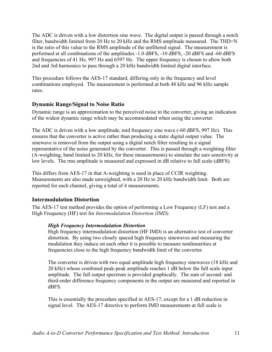The ADC is driven with a low distortion sine wave. The digital output is passed through a notch filter, bandwidth limited from 20 Hz to 20 kHz and the RMS amplitude measured. The THD+N is the ratio of this value to the RMS amplitude of the unfiltered signal. The measurement is performed at all combinations of the amplitudes -1.0 dBFS, -10 dBFS, -20 dBFS and -60 dBFS and frequencies of 41 Hz, 997 Hz and 6597 Hz. The upper frequency is chosen to allow both 2nd and 3rd harmonics to pass through a 20 kHz bandwidth limited digital interface.

This procedure follows the AES-17 standard, differing only in the frequency and level combinations employed. The measurement is performed at both 48 kHz and 96 kHz sample rates.

## **Dynamic Range/Signal to Noise Ratio**

Dynamic range is an approximation to the perceived noise in the converter, giving an indication of the widest dynamic range which may be accommodated when using the converter.

The ADC is driven with a low amplitude, mid frequency sine wave (-60 dBFS, 997 Hz). This ensures that the converter is active rather than producing a static digital output value. The sinewave is removed from the output using a digital notch filter resulting in a signal representative of the noise generated by the converter. This is passed through a weighting filter (A-weighting, band limited to 20 kHz, for these measurements) to simulate the ears sensitivity at low levels. The rms amplitude is measured and expressed in dB relative to full scale (dBFS).

This differs from AES-17 in that A-weighting is used in place of CCIR weighting. Measurements are also made unweighted, with a 20 Hz to 20 kHz bandwidth limit. Both are reported for each channel, giving a total of 4 measurements.

#### **Intermodulation Distortion**

The AES-17 test method provides the option of performing a Low Frequency (LF) test and a High Frequency (HF) test for *Intermodulation Distortion (IMD).*

#### *High Frequency Intermodulation Distortion*

High frequency intermodulation distortion (HF IMD) is an alternative test of converter distortion. By using two closely spaced high frequency sinewaves and measuring the modulation they induce on each other it is possible to measure nonlinearities at frequencies close to the high frequency bandwidth limit of the converter.

The converter is driven with two equal amplitude high frequency sinewaves (18 kHz and 20 kHz) whose combined peak-peak amplitude reaches 1 dB below the full scale input amplitude. The full output spectrum is provided graphically. The sum of second- and third-order difference frequency components in the output are measured and reported in dBFS.

This is essentially the procedure specified in AES-17, except for a 1 dB reduction in signal level. The AES-17 directive to perform IMD measurements at full scale is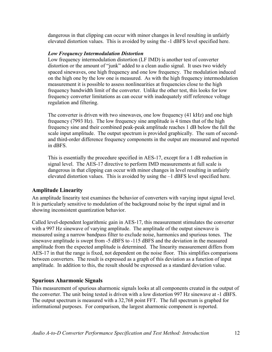dangerous in that clipping can occur with minor changes in level resulting in unfairly elevated distortion values. This is avoided by using the -1 dBFS level specified here.

#### *Low Frequency Intermodulation Distortion*

Low frequency intermodulation distortion (LF IMD) is another test of converter distortion or the amount of "junk" added to a clean audio signal. It uses two widely spaced sinewaves, one high frequency and one low frequency. The modulation induced on the high one by the low one is measured. As with the high frequency intermodulation measurement it is possible to assess nonlinearities at frequencies close to the high frequency bandwidth limit of the converter. Unlike the other test, this looks for low frequency converter limitations as can occur with inadequately stiff reference voltage regulation and filtering.

The converter is driven with two sinewaves, one low frequency (41 kHz) and one high frequency (7993 Hz). The low frequency sine amplitude is 4 times that of the high frequency sine and their combined peak-peak amplitude reaches 1 dB below the full the scale input amplitude. The output spectrum is provided graphically. The sum of secondand third-order difference frequency components in the output are measured and reported in dBFS.

This is essentially the procedure specified in AES-17, except for a 1 dB reduction in signal level. The AES-17 directive to perform IMD measurements at full scale is dangerous in that clipping can occur with minor changes in level resulting in unfairly elevated distortion values. This is avoided by using the –1 dBFS level specified here.

## **Amplitude Linearity**

An amplitude linearity test examines the behavior of converters with varying input signal level. It is particularly sensitive to modulation of the background noise by the input signal and in showing inconsistent quantization behavior.

Called level-dependent logarithmic gain in AES-17, this measurement stimulates the converter with a 997 Hz sinewave of varying amplitude. The amplitude of the output sinewave is measured using a narrow bandpass filter to exclude noise, harmonics and spurious tones. The sinewave amplitude is swept from -5 dBFS to -115 dBFS and the deviation in the measured amplitude from the expected amplitude is determined. The linearity measurement differs from AES-17 in that the range is fixed, not dependent on the noise floor. This simplifies comparisons between converters. The result is expressed as a graph of this deviation as a function of input amplitude. In addition to this, the result should be expressed as a standard deviation value.

## **Spurious Aharmonic Signals**

This measurement of spurious aharmonic signals looks at all components created in the output of the converter. The unit being tested is driven with a low distortion 997 Hz sinewave at -1 dBFS. The output spectrum is measured with a 32,768 point FFT. The full spectrum is graphed for informational purposes. For comparison, the largest aharmonic component is reported.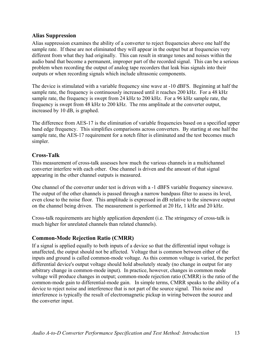## **Alias Suppression**

Alias suppression examines the ability of a converter to reject frequencies above one half the sample rate. If these are not eliminated they will appear in the output but at frequencies very different from what they had originally. This can result in strange tones and noises within the audio band that become a permanent, improper part of the recorded signal. This can be a serious problem when recording the output of analog tape recorders that leak bias signals into their outputs or when recording signals which include ultrasonic components.

The device is stimulated with a variable frequency sine wave at -10 dBFS. Beginning at half the sample rate, the frequency is continuously increased until it reaches 200 kHz. For a 48 kHz sample rate, the frequency is swept from 24 kHz to 200 kHz. For a 96 kHz sample rate, the frequency is swept from 48 kHz to 200 kHz. The rms amplitude at the converter output, increased by 10 dB, is graphed.

The difference from AES-17 is the elimination of variable frequencies based on a specified upper band edge frequency. This simplifies comparisons across converters. By starting at one half the sample rate, the AES-17 requirement for a notch filter is eliminated and the test becomes much simpler.

## **Cross-Talk**

This measurement of cross-talk assesses how much the various channels in a multichannel converter interfere with each other. One channel is driven and the amount of that signal appearing in the other channel outputs is measured.

One channel of the converter under test is driven with a -1 dBFS variable frequency sinewave. The output of the other channels is passed through a narrow bandpass filter to assess its level. even close to the noise floor. This amplitude is expressed in dB relative to the sinewave output on the channel being driven. The measurement is performed at 20 Hz, 1 kHz and 20 kHz.

Cross-talk requirements are highly application dependent (i.e. The stringency of cross-talk is much higher for unrelated channels than related channels).

## **Common-Mode Rejection Ratio (CMRR)**

If a signal is applied equally to both inputs of a device so that the differential input voltage is unaffected, the output should not be affected. Voltage that is common between either of the inputs and ground is called common-mode voltage. As this common voltage is varied, the perfect differential device's output voltage should hold absolutely steady (no change in output for any arbitrary change in common-mode input). In practice, however, changes in common mode voltage will produce changes in output; common-mode rejection ratio (CMRR) is the ratio of the common-mode gain to differential-mode gain. In simple terms, CMRR speaks to the ability of a device to reject noise and interference that is not part of the source signal. This noise and interference is typically the result of electromagnetic pickup in wiring between the source and the converter input.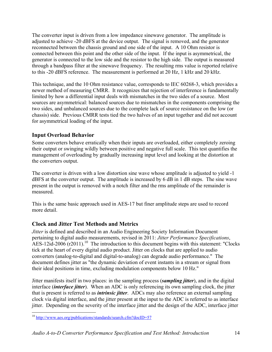The converter input is driven from a low impedance sinewave generator. The amplitude is adjusted to achieve -20 dBFS at the device output. The signal is removed, and the generator reconnected between the chassis ground and one side of the input. A 10 Ohm resistor is connected between this point and the other side of the input. If the input is asymmetrical, the generator is connected to the low side and the resistor to the high side. The output is measured through a bandpass filter at the sinewave frequency. The resulting rms value is reported relative to this -20 dBFS reference. The measurement is performed at 20 Hz, 1 kHz and 20 kHz.

This technique, and the 10 Ohm resistance value, corresponds to IEC 60268-3, which provides a newer method of measuring CMRR. It recognizes that rejection of interference is fundamentally limited by how a differential input deals with mismatches in the two sides of a source. Most sources are asymmetrical: balanced sources due to mismatches in the components comprising the two sides, and unbalanced sources due to the complete lack of source resistance on the low (or chassis) side. Previous CMRR tests tied the two halves of an input together and did not account for asymmetrical loading of the input.

## **Input Overload Behavior**

Some converters behave erratically when their inputs are overloaded, either completely zeroing their output or swinging wildly between positive and negative full scale. This test quantifies the management of overloading by gradually increasing input level and looking at the distortion at the converters output.

The converter is driven with a low distortion sine wave whose amplitude is adjusted to yield -1 dBFS at the converter output. The amplitude is increased by 6 dB in 1 dB steps. The sine wave present in the output is removed with a notch filter and the rms amplitude of the remainder is measured.

This is the same basic approach used in AES-17 but finer amplitude steps are used to record more detail.

## **Clock and Jitter Test Methods and Metrics**

*Jitter* is defined and described in an Audio Engineering Society Information Document pertaining to digital audio measurements, revised in 2011: *Jitter Performance Specifications*, AES-12id-2006 ( $r2011$ ).<sup>10</sup> The introduction to this document begins with this statement: "Clocks" tick at the heart of every digital audio product. Jitter on clocks that are applied to audio converters (analog-to-digital and digital-to-analog) can degrade audio performance." The document defines jitter as "the dynamic deviation of event instants in a stream or signal from their ideal positions in time, excluding modulation components below 10 Hz."

Jitter manifests itself in two places: in the sampling process (*sampling jitter*), and in the digital interface (*interface jitter*). When an ADC is only referencing its own sampling clock, the jitter that is present is referred to as *intrinsic jitter*. ADCs may also reference an external sampling clock via digital interface, and the jitter present at the input to the ADC is referred to as interface jitter. Depending on the severity of the interface jitter and the design of the ADC, interface jitter

 $\overline{a}$ <sup>10</sup> http://www.aes.org/publications/standards/search.cfm?docID=57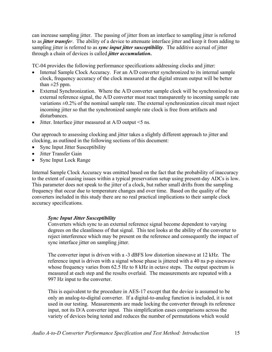can increase sampling jitter. The passing of jitter from an interface to sampling jitter is referred to as *jitter transfer*. The ability of a device to attenuate interface jitter and keep it from adding to sampling jitter is referred to as *sync input jitter susceptibility*. The additive accrual of jitter through a chain of devices is called *jitter accumulation***.** 

TC-04 provides the following performance specifications addressing clocks and jitter:

- Internal Sample Clock Accuracy. For an A/D converter synchronized to its internal sample clock, frequency accuracy of the clock measured at the digital stream output will be better than  $\pm 25$  ppm.
- External Synchronization. Where the A/D converter sample clock will be synchronized to an external reference signal, the A/D converter must react transparently to incoming sample rate variations  $\pm 0.2\%$  of the nominal sample rate. The external synchronization circuit must reject incoming jitter so that the synchronized sample rate clock is free from artifacts and disturbances.
- Jitter. Interface jitter measured at A/D output <5 ns.

Our approach to assessing clocking and jitter takes a slightly different approach to jitter and clocking, as outlined in the following sections of this document:

- Sync Input Jitter Susceptibility
- Jitter Transfer Gain
- Sync Input Lock Range

Internal Sample Clock Accuracy was omitted based on the fact that the probability of inaccuracy to the extent of causing issues within a typical preservation setup using present-day ADCs is low. This parameter does not speak to the jitter of a clock, but rather small drifts from the sampling frequency that occur due to temperature changes and over time. Based on the quality of the converters included in this study there are no real practical implications to their sample clock accuracy specifications.

#### *Sync Input Jitter Susceptibility*

Converters which sync to an external reference signal become dependent to varying degrees on the cleanliness of that signal. This test looks at the ability of the converter to reject interference which may be present on the reference and consequently the impact of sync interface jitter on sampling jitter.

The converter input is driven with a -3 dBFS low distortion sinewave at 12 kHz. The reference input is driven with a signal whose phase is jittered with a 40 ns p-p sinewave whose frequency varies from 62.5 Hz to 8 kHz in octave steps. The output spectrum is measured at each step and the results overlaid. The measurements are repeated with a 997 Hz input to the converter.

This is equivalent to the procedure in AES-17 except that the device is assumed to be only an analog-to-digital converter. If a digital-to-analog function is included, it is not used in our testing. Measurements are made locking the converter through its reference input, not its D/A converter input. This simplification eases comparisons across the variety of devices being tested and reduces the number of permutations which would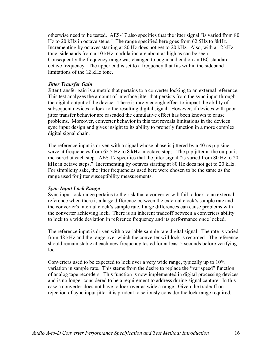otherwise need to be tested. AES-17 also specifies that the jitter signal "is varied from 80 Hz to 20 kHz in octave steps." The range specified here goes from 62.5Hz to 8kHz. Incrementing by octaves starting at 80 Hz does not get to 20 kHz. Also, with a 12 kHz tone, sidebands from a 10 kHz modulation are about as high as can be seen. Consequently the frequency range was changed to begin and end on an IEC standard octave frequency. The upper end is set to a frequency that fits within the sideband limitations of the 12 kHz tone.

#### *Jitter Transfer Gain*

Jitter transfer gain is a metric that pertains to a converter locking to an external reference. This test analyzes the amount of interface jitter that persists from the sync input through the digital output of the device. There is rarely enough effect to impact the ability of subsequent devices to lock to the resulting digital signal. However, if devices with poor jitter transfer behavior are cascaded the cumulative effect has been known to cause problems. Moreover, converter behavior in this test reveals limitations in the devices sync input design and gives insight to its ability to properly function in a more complex digital signal chain.

The reference input is driven with a signal whose phase is jittered by a 40 ns p-p sinewave at frequencies from 62.5 Hz to 8 kHz in octave steps. The p-p jitter at the output is measured at each step. AES-17 specifies that the jitter signal "is varied from 80 Hz to 20 kHz in octave steps." Incrementing by octaves starting at 80 Hz does not get to 20 kHz. For simplicity sake, the jitter frequencies used here were chosen to be the same as the range used for jitter susceptibility measurements.

#### *Sync Input Lock Range*

Sync input lock range pertains to the risk that a converter will fail to lock to an external reference when there is a large difference between the external clock's sample rate and the converter's internal clock's sample rate. Large differences can cause problems with the converter achieving lock. There is an inherent tradeoff between a converters ability to lock to a wide deviation in reference frequency and its performance once locked.

The reference input is driven with a variable sample rate digital signal. The rate is varied from 48 kHz and the range over which the converter will lock is recorded. The reference should remain stable at each new frequency tested for at least 5 seconds before verifying lock.

Converters used to be expected to lock over a very wide range, typically up to 10% variation in sample rate. This stems from the desire to replace the "varispeed" function of analog tape recorders. This function is now implemented in digital processing devices and is no longer considered to be a requirement to address during signal capture. In this case a converter does not have to lock over as wide a range. Given the tradeoff on rejection of sync input jitter it is prudent to seriously consider the lock range required.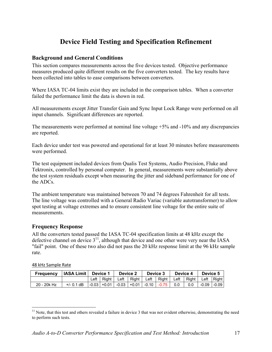# **Device Field Testing and Specification Refinement**

## **Background and General Conditions**

This section compares measurements across the five devices tested. Objective performance measures produced quite different results on the five converters tested. The key results have been collected into tables to ease comparisons between converters.

Where IASA TC-04 limits exist they are included in the comparison tables. When a converter failed the performance limit the data is shown in red.

All measurements except Jitter Transfer Gain and Sync Input Lock Range were performed on all input channels. Significant differences are reported.

The measurements were performed at nominal line voltage +5% and -10% and any discrepancies are reported.

Each device under test was powered and operational for at least 30 minutes before measurements were performed.

The test equipment included devices from Qualis Test Systems, Audio Precision, Fluke and Tektronix, controlled by personal computer. In general, measurements were substantially above the test system residuals except when measuring the jitter and sideband performance for one of the ADCs.

The ambient temperature was maintained between 70 and 74 degrees Fahrenheit for all tests. The line voltage was controlled with a General Radio Variac (variable autotransformer) to allow spot testing at voltage extremes and to ensure consistent line voltage for the entire suite of measurements.

#### **Frequency Response**

All the converters tested passed the IASA TC-04 specification limits at 48 kHz except the defective channel on device  $3<sup>11</sup>$ , although that device and one other were very near the IASA "fail" point. One of these two also did not pass the 20 kHz response limit at the 96 kHz sample rate.

#### 48 kHz Sample Rate

 $\overline{a}$ 

| <b>Frequency</b> | IASA Limit   Device 1 |  |  | <b>Device 2</b> |  | Device 3 |                                                                                                 | Device 4 |     | Device 5            |  |
|------------------|-----------------------|--|--|-----------------|--|----------|-------------------------------------------------------------------------------------------------|----------|-----|---------------------|--|
|                  |                       |  |  |                 |  |          | Left   Right   Left   Right   Left   Right   Left   Right   Left   Right                        |          |     |                     |  |
| 20 - 20k Hz      | $+/- 0.1$ dB          |  |  |                 |  |          | $\vert$ -0.03 $\vert$ +0.01 $\vert$ -0.03 $\vert$ +0.01 $\vert$ -0.10 $\vert$ -0.75 $\vert$ 0.0 |          | 0.0 | $  -0.09   -0.09  $ |  |

 $11$  Note, that this test and others revealed a failure in device 3 that was not evident otherwise, demonstrating the need to perform such tests.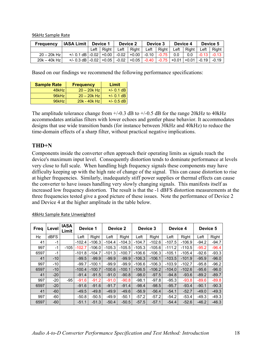96kHz Sample Rate

| <b>Frequency</b> | <b>IASA Limit</b>                                                                                 | Device 1 |              | Device 2 |                                                                 | Device 3 |              | Device 4 |                      | Device 5 |                |
|------------------|---------------------------------------------------------------------------------------------------|----------|--------------|----------|-----------------------------------------------------------------|----------|--------------|----------|----------------------|----------|----------------|
|                  |                                                                                                   |          | Left   Right |          | Left Right I                                                    |          | Left   Right | Left     | Right   Left   Right |          |                |
| $20 - 20k$ Hz    | $+/-$ 0.1 dB $\mid$ -0.02 $\mid$ +0.00 $\mid$ -0.02 $\mid$ +0.00 $\mid$ -0.10 $\mid$ -0.75 $\mid$ |          |              |          |                                                                 |          |              | 0.0      | 0.0                  |          | $-0.13 - 0.13$ |
| 20k - 40k Hz     | $+/- 0.3$ dB $-0.02$ $+0.05$ $-$                                                                  |          |              |          | 「 -0.02   +0.05   -0.40   -0.75   +0.01   +0.01   -0.19   -0.19 |          |              |          |                      |          |                |

Based on our findings we recommend the following performance specifications:

| <b>Sample Rate</b> | <b>Frequency</b> | Limit        |  |  |
|--------------------|------------------|--------------|--|--|
| 48kHz              | $20 - 20k$ Hz    | $+/- 0.1$ dB |  |  |
| 96kHz              | $20 - 20k$ Hz    | $+/- 0.1$ dB |  |  |
| 96kHz              | 20k - 40k Hz     | $+/- 0.5$ dB |  |  |

The amplitude tolerance change from  $+/-0.3$  dB to  $+/-0.5$  dB for the range 20kHz to 40kHz accommodates antialias filters with lower echoes and gentler phase behavior. It accommodates designs that use wide transition bands (for instance between 30kHz and 40kHz) to reduce the time-domain effects of a sharp filter, without practical negative implications.

## **THD+N**

Components inside the converter often approach their operating limits as signals reach the device's maximum input level. Consequently distortion tends to dominate performance at levels very close to full scale. When handling high frequency signals these components may have difficulty keeping up with the high rate of change of the signal. This can cause distortion to rise at higher frequencies. Similarly, inadequately stiff power supplies or thermal effects can cause the converter to have issues handling very slowly changing signals. This manifests itself as increased low frequency distortion. The result is that the -1 dBFS distortion measurements at the three frequencies tested give a good picture of these issues. Note the performance of Device 2 and Device 4 at the higher amplitude in the table below.

| Freq | Level       | <b>IASA</b><br>Limit |          | Device 1 |          | Device 2 |          | Device 3 |          | Device 4 | Device 5 |         |  |
|------|-------------|----------------------|----------|----------|----------|----------|----------|----------|----------|----------|----------|---------|--|
| Hz   | <b>dBFS</b> |                      | Left     | Right    | Left     | Right    | Left     | Right    | Left     | Right    | Left     | Right   |  |
| 41   | $-1$        |                      | $-102.4$ | $-106.3$ | $-104.4$ | $-104.3$ | $-104.7$ | $-102.6$ | $-107.5$ | $-106.9$ | $-94.2$  | $-94.7$ |  |
| 997  | $-1$        | $-105$               | $-102.7$ | $-106.0$ | $-105.3$ | $-105.5$ | $-105.3$ | $-105.6$ | $-111.2$ | $-110.5$ | $-95.2$  | $-96.4$ |  |
| 6597 | $-1$        |                      | $-101.8$ | $-104.7$ | $-101.3$ | $-100.7$ | $-106.6$ | $-106.3$ | $-105.1$ | $-105.4$ | $-92.6$  | $-93.3$ |  |
| 41   | $-10$       |                      | $-99.5$  | $-99.9$  | $-99.9$  | $-99.9$  | $-106.3$ | $-106.1$ | $-103.5$ | $-101.9$ | $-95.9$  | $-96.0$ |  |
| 997  | $-10$       |                      | $-99.7$  | $-100.1$ | $-99.9$  | $-99.9$  | $-106.6$ | $-106.3$ | $-103.9$ | $-102.7$ | $-95.8$  | $-96.2$ |  |
| 6597 | $-10$       |                      | $-100.4$ | $-100.7$ | $-100.6$ | $-100.1$ | $-106.5$ | $-106.2$ | $-104.0$ | $-102.6$ | $-95.6$  | $-96.0$ |  |
| 41   | $-20$       |                      | $-91.4$  | $-91.5$  | $-91.0$  | $-90.8$  | $-98.0$  | $-97.5$  | $-94.8$  | $-93.6$  | $-89.2$  | $-89.7$ |  |
| 997  | $-20$       | $-95$                | $-91.6$  | $-91.2$  | $-91.0$  | $-90.8$  | $-98.1$  | $-97.8$  | $-95.3$  | $-93.8$  | $-89.6$  | $-89.8$ |  |
| 6597 | $-20$       |                      | $-91.6$  | $-91.6$  | $-91.7$  | $-91.4$  | $-98.4$  | $-98.5$  | $-95.7$  | $-93.4$  | $-90.1$  | $-90.3$ |  |
| 41   | $-60$       |                      | $-49.5$  | $-49.8$  | $-49.9$  | $-49.6$  | $-56.9$  | $-56.4$  | $-54.1$  | $-52.7$  | $-49.0$  | $-49.3$ |  |
| 997  | $-60$       |                      | $-50.8$  | $-50.5$  | $-49.9$  | $-50.1$  | $-57.2$  | $-57.2$  | $-54.2$  | $-53.4$  | $-49.3$  | $-49.3$ |  |
| 6597 | $-60$       |                      | $-51.1$  | $-51.3$  | $-50.4$  | $-50.5$  | $-57.5$  | $-57.1$  | $-54.4$  | $-52.6$  | $-46.2$  | $-46.3$ |  |

48kHz Sample Rate Unweighted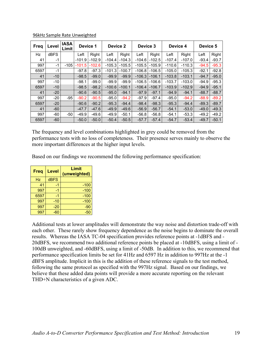| <b>Freq</b> | Level | <b>IASA</b><br>Limit | Device 1 |          | Device 2 |          | Device 3 |          | Device 4 |          | Device 5 |         |  |
|-------------|-------|----------------------|----------|----------|----------|----------|----------|----------|----------|----------|----------|---------|--|
| Hz          | dBFS  |                      | Left     | Right    | Left     | Right    | Left     | Right    | Left     | Right    | Left     | Right   |  |
| 41          | $-1$  |                      | $-101.9$ | $-102.9$ | $-104.4$ | $-104.3$ | $-104.6$ | $-102.5$ | $-107.4$ | $-107.0$ | $-93.4$  | $-93.7$ |  |
| 997         | $-1$  | $-105$               | $-101.5$ | $-102.6$ | $-105.3$ | $-105.5$ | $-105.5$ | $-105.9$ | $-110.6$ | $-110.3$ | $-94.5$  | $-95.3$ |  |
| 6597        | $-1$  |                      | $-97.8$  | $-97.3$  | $-101.3$ | $-100.7$ | $-106.8$ | $-106.5$ | $-105.0$ | $-105.3$ | $-92.1$  | $-92.8$ |  |
| 41          | $-10$ |                      | $-98.5$  | $-99.0$  | $-99.9$  | $-99.9$  | $-106.3$ | $-106.1$ | $-103.8$ | $-103.1$ | $-94.7$  | $-95.0$ |  |
| 997         | $-10$ |                      | $-98.1$  | $-99.0$  | $-99.9$  | $-99.9$  | $-106.5$ | $-106.6$ | $-103.7$ | $-103.0$ | $-94.9$  | $-95.3$ |  |
| 6597        | $-10$ |                      | $-98.5$  | $-98.2$  | $-100.6$ | $-100.1$ | $-106.4$ | $-106.7$ | $-103.9$ | $-102.9$ | $-94.9$  | $-95.1$ |  |
| 41          | $-20$ |                      | $-90.6$  | $-90.5$  | $-95.0$  | $-94.1$  | $-97.9$  | $-97.1$  | $-94.9$  | $-94.1$  | $-88.7$  | $-88.7$ |  |
| 997         | $-20$ | $-95$                | $-90.2$  | $-90.5$  | $-95.0$  | $-94.2$  | $-97.9$  | $-97.4$  | $-95.0$  | $-94.2$  | $-88.9$  | $-89.2$ |  |
| 6597        | $-20$ |                      | $-90.6$  | $-90.2$  | $-95.3$  | $-94.4$  | $-98.4$  | $-98.3$  | $-95.3$  | $-94.4$  | $-89.3$  | $-89.7$ |  |
| 41          | $-60$ |                      | $-47.7$  | $-47.6$  | $-49.9$  | $-49.6$  | $-56.9$  | $-56.7$  | $-54.1$  | $-53.0$  | $-49.0$  | $-49.3$ |  |
| 997         | $-60$ | $-50$                | $-49.9$  | $-49.6$  | $-49.9$  | $-50.1$  | $-56.8$  | $-56.8$  | $-54.1$  | $-53.3$  | $-49.2$  | $-49.2$ |  |
| 6597        | $-60$ |                      | $-50.0$  | $-50.0$  | $-50.4$  | $-50.5$  | $-57.7$  | $-57.4$  | $-54.7$  | $-53.4$  | $-49.7$  | $-50.1$ |  |

96kHz Sample Rate Unweighted

The frequency and level combinations highlighted in grey could be removed from the performance tests with no loss of completeness. Their presence serves mainly to observe the more important differences at the higher input levels.

Based on our findings we recommend the following performance specification:

| <b>Freq</b> | Level       | Limit<br>(unweighted) |
|-------------|-------------|-----------------------|
| <b>Hz</b>   | <b>dBFS</b> |                       |
| 41          | -1          | $-100$                |
| 997         | -1          | $-100$                |
| 6597        | -1          | $-100$                |
| 997         | $-10$       | $-100$                |
| 997         | $-20$       | $-90$                 |
| 997         | $-60$       | -50                   |

Additional tests at lower amplitudes will demonstrate the way noise and distortion trade-off with each other. These rarely show frequency dependence as the noise begins to dominate the overall results. Whereas the IASA TC-04 specification provides reference points at -1dBFS and - 20dBFS, we recommend two additional reference points be placed at -10dBFS, using a limit of - 100dB unweighted, and -60dBFS, using a limit of -50dB. In addition to this, we recommend that performance specification limits be set for 41Hz and 6597 Hz in addition to 997Hz at the -1 dBFS amplitude. Implicit in this is the addition of these reference signals to the test method, following the same protocol as specified with the 997Hz signal. Based on our findings, we believe that these added data points will provide a more accurate reporting on the relevant THD+N characteristics of a given ADC.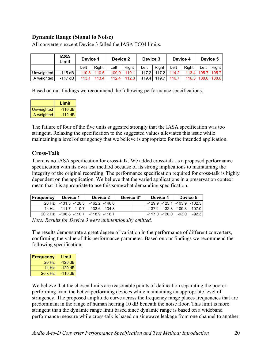## **Dynamic Range (Signal to Noise)**

|            | <b>IASA</b><br>Limit | Device 1 |       | Device 2 |       | Device 3 |       | Device 4 |              | Device 5    |       |
|------------|----------------------|----------|-------|----------|-------|----------|-------|----------|--------------|-------------|-------|
|            |                      | ∟eft     | Right | _eft     | Right | ∟eft     | Right | ∟eft     | <b>Right</b> | ∟eft        | Right |
| Unweighted | $-115$ dB            | 110.8    | 110.5 | 109.9    | 110.1 | 117 2    | 1172  | 114.2    |              | 113.4 105.7 | 105.7 |
| A weighted | $-117$ dB            | 113.1    | 113.4 | 112.4    | 112.3 | 119.4    | 119.7 | 116.7    |              | 116.3 108.6 | 108.6 |

All converters except Device 3 failed the IASA TC04 limits.

Based on our findings we recommend the following performance specifications:

|            | Limit     |
|------------|-----------|
| Unweighted | $-110$ dB |
| A weighted | -112 dB l |

The failure of four of the five units suggested strongly that the IASA specification was too stringent. Relaxing the specification to the suggested values alleviates this issue while maintaining a level of stringency that we believe is appropriate for the intended application.

## **Cross-Talk**

There is no IASA specification for cross-talk. We added cross-talk as a proposed performance specification with its own test method because of its strong implications to maintaining the integrity of the original recording. The performance specification required for cross-talk is highly dependent on the application. We believe that the varied applications in a preservation context mean that it is appropriate to use this somewhat demanding specification.

| <b>Frequency</b>                            | Device 1                                  |  | Device 2 |  | Device 3* | Device 4                          | Device 5 |       |
|---------------------------------------------|-------------------------------------------|--|----------|--|-----------|-----------------------------------|----------|-------|
|                                             | 20 Hz   -131.3   -128.3   -162.2   -146.6 |  |          |  |           | -129.9   -125.1   -103.9   -102.3 |          |       |
|                                             | 1k Hz   -111.7   -110.7   -133.6   -134.8 |  |          |  |           | -137.4   -132.3   -109.3   -107.0 |          |       |
| 20 k Hz   -106.8   -110.7   -118.9   -116.1 |                                           |  |          |  |           | l -117.0 l -120.0 l               | -93.0    | -92.3 |

*Note: Results for Device 3 were unintentionally omitted.* 

The results demonstrate a great degree of variation in the performance of different converters, confirming the value of this performance parameter. Based on our findings we recommend the following specification:

| <b>Frequency</b> | Limit     |
|------------------|-----------|
| 20Hz             | $-120$ dB |
| 1k Hz            | $-120$ dB |
| 20 k Hz          | $-110$ dB |

We believe that the chosen limits are reasonable points of delineation separating the poorerperforming from the better-performing devices while maintaining an appropriate level of stringency. The proposed amplitude curve across the frequency range places frequencies that are predominant in the range of human hearing 10 dB beneath the noise floor. This limit is more stringent than the dynamic range limit based since dynamic range is based on a wideband performance measure while cross-talk is based on sinewave leakage from one channel to another.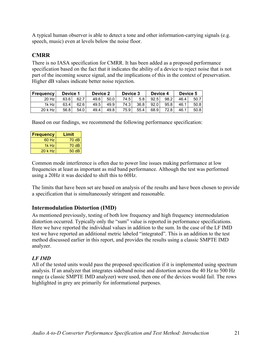A typical human observer is able to detect a tone and other information-carrying signals (e.g. speech, music) even at levels below the noise floor.

## **CMRR**

There is no IASA specification for CMRR. It has been added as a proposed performance specification based on the fact that it indicates the ability of a device to reject noise that is not part of the incoming source signal, and the implications of this in the context of preservation. Higher dB values indicate better noise rejection.

| <b>Frequency</b> | Device 1 |      | Device 2 |      | Device 3 |      | Device 4 |      | Device 5 |      |
|------------------|----------|------|----------|------|----------|------|----------|------|----------|------|
| $20$ Hz          | 63.6     | 62.7 | 49.6     | 50.0 | 74.5     | 5.8  | 92.5     | 98.2 | 46.4     | 50.7 |
| 1k Hz            | 63.4     | 62.6 | 49.5     | 49.9 | 74.3     | 36.8 | 92.0     | 95.8 | 46.1     | 50.8 |
| 20 k Hz          | 56.8     | 54.0 | 49.4     | 49.8 | 75.9     | 55.4 | 68.9     | 72.8 | 46.1     | 50.8 |

Based on our findings, we recommend the following performance specification:

| <b>Frequency</b> | Limit |
|------------------|-------|
| 60 Hz            | 70dB  |
| $1k$ Hz          | 70dB  |
| $20$ k Hz        | 50 dB |

Common mode interference is often due to power line issues making performance at low frequencies at least as important as mid band performance. Although the test was performed using a 20Hz it was decided to shift this to 60Hz.

The limits that have been set are based on analysis of the results and have been chosen to provide a specification that is simultaneously stringent and reasonable.

#### **Intermodulation Distortion (IMD)**

As mentioned previously, testing of both low frequency and high frequency intermodulation distortion occurred. Typically only the "sum" value is reported in performance specifications. Here we have reported the individual values in addition to the sum. In the case of the LF IMD test we have reported an additional metric labeled "integrated". This is an addition to the test method discussed earlier in this report, and provides the results using a classic SMPTE IMD analyzer.

#### *LF IMD*

All of the tested units would pass the proposed specification if it is implemented using spectrum analysis. If an analyzer that integrates sideband noise and distortion across the 40 Hz to 500 Hz range (a classic SMPTE IMD analyzer) were used, then one of the devices would fail. The rows highlighted in grey are primarily for informational purposes.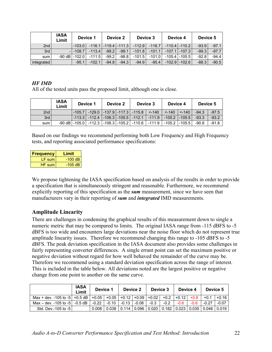|            | <b>IASA</b><br>Limit | Device 1     |          | Device 2 |                            | Device 3 |          | Device 4 |                                  | Device 5 |         |
|------------|----------------------|--------------|----------|----------|----------------------------|----------|----------|----------|----------------------------------|----------|---------|
| 2nd        |                      | $-103.0$     |          |          | $-116.1$ $-119.4$ $-111.3$ | $-112.9$ | $-116.7$ |          | $-110.4$ $-110.2$ $\blacksquare$ | $-93.9$  | $-97.1$ |
| 3rd        |                      | $-1 - 108.7$ | $-113.4$ | $-99.2$  | $-99.1$                    | $-101.8$ | $-101.1$ |          | $-107.1$ $-107.3$                | $-99.3$  | $-97.7$ |
| sum        | $-90$ dB $\vert$     | $-102.0$     | $-111.5$ | $-99.2$  | $-98.8$                    | $-101.5$ | $-101.0$ |          | $-105.4$ $-105.5$                | $-92.8$  | -94.4   |
| integrated |                      | $-95.1$      | $-102.1$ | $-94.8$  | $-94.3$                    | $-94.9$  | $-95.4$  |          | $-102.9$ $-102.6$                | $-88.3$  | $-90.5$ |

## *HF IMD*

All of the tested units pass the proposed limit, although one is close.

|       | <b>IASA</b><br>Limit | Device 1 |  | Device 2 |  | Device 3 |                                                                                                                                 | Device 4 |  | Device 5 |         |
|-------|----------------------|----------|--|----------|--|----------|---------------------------------------------------------------------------------------------------------------------------------|----------|--|----------|---------|
| 2nd   |                      |          |  |          |  |          | -105.7  -129.0  -137.9 -117.3  -115.8   <-140   <-140  <-140                                                                    |          |  | $-94.3$  | $-97.5$ |
| 3rd   |                      |          |  |          |  |          | $\vert$ -113.3 $\vert$ -112.4 $\vert$ -106.3 $\vert$ -105.5 $\vert$ -112.1 $\vert$ -111.9 $\vert$ -105.2 $\vert$ -105.5 $\vert$ |          |  | $-93.3$  | $-93.2$ |
| sum l |                      |          |  |          |  |          | $-90$ dB $ -105.0 $ $-112.3$ $ -106.3 $ $-105.2 $ $-110.6 $ $-111.9 $ $-105.2 $ $-105.5 $ $-90.8$                               |          |  |          | $-91.8$ |

Based on our findings we recommend performing both Low Frequency and High Frequency tests, and reporting associated performance specifications:

| <b>Frequency</b> | Limit     |
|------------------|-----------|
| LF sum           | $-100$ dB |
| HF sum           | $-105$ dB |

We propose tightening the IASA specification based on analysis of the results in order to provide a specification that is simultaneously stringent and reasonable. Furthermore, we recommend explicitly reporting of this specification as the *sum* measurement, since we have seen that manufacturers vary in their reporting of *sum* and *integrated* IMD measurements.

## **Amplitude Linearity**

There are challenges in condensing the graphical results of this measurement down to single a numeric metric that may be compared to limits. The original IASA range from -115 dBFS to -5 dBFS is too wide and encounters large deviations near the noise floor which do not represent true amplitude linearity issues. Therefore we recommend changing this range to -105 dBFS to -5 dBFS. The peak deviation specification in the IASA document also provides some challenges in fairly representing converter differences. A single errant point can set the maximum positive or negative deviation without regard for how well behaved the remainder of the curve may be. Therefore we recommend using a standard deviation specification across the range of interest. This is included in the table below. All deviations noted are the largest positive or negative change from one point to another on the same curve.

|                                                                         | <b>IASA</b><br>Limit | Device 1 |         | Device 2        |         | Device 3 |                                       | Device 4 |        | Device 5 |         |
|-------------------------------------------------------------------------|----------------------|----------|---------|-----------------|---------|----------|---------------------------------------|----------|--------|----------|---------|
| Max + dev. -105 to -5   +0.5 dB   +0.05   +0.05   +0.12   +0.09   +0.02 |                      |          |         |                 |         |          | $+0.2$                                | $+0.12$  | $+0.8$ | $+0.1$   | $+0.16$ |
| Max – dev. -105 to -5                                                   | -0.5 dB              | $-0.22$  | $-0.10$ | $-0.13$         | $-0.08$ | $-0.3$   | $-0.2$                                | $-0.6$   | $-0.6$ | $-0.27$  | $-0.07$ |
| Std. Dev.-105 to -51                                                    |                      | 0.008    | 0.038   | $0.114$   0.096 |         |          | 0.020   0.182   0.023   0.035   0.046 |          |        |          | 0.019   |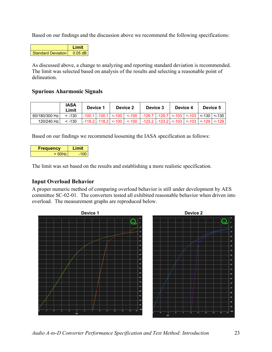Based on our findings and the discussion above we recommend the following specifications:



As discussed above, a change to analyzing and reporting standard deviation is recommended. The limit was selected based on analysis of the results and selecting a reasonable point of delineation.

## **Spurious Aharmonic Signals**

|                 | IASA<br>Limit   | Device 1 |  | Device 2                                                                                                                                                | Device 3 |  | Device 4 | Device 5 |  |
|-----------------|-----------------|----------|--|---------------------------------------------------------------------------------------------------------------------------------------------------------|----------|--|----------|----------|--|
| 60/180/300 Hz l | $< -130$        |          |  | $\vert$ -100.1 $\vert$ -100.1 $\vert$ <-100 $\vert$ <-100 $\vert$ -129.7 $\vert$ -129.7 $\vert$ <-103 $\vert$ <-103 $\vert$ <-130 $\vert$ <-130 $\vert$ |          |  |          |          |  |
| 120/240 Hz      | $\le$ -130 $\,$ |          |  | $\vert$ -118.2   -118.2   <-100   <-100   -123.2   -123.2   <-103   <-103   <-129   <-129                                                               |          |  |          |          |  |

Based on our findings we recommend loosening the IASA specification as follows:

| <b>Frequency</b> | Limit |
|------------------|-------|
| $>$ 50Hz         | -100  |

The limit was set based on the results and establishing a more realistic specification.

## **Input Overload Behavior**

A proper numeric method of comparing overload behavior is still under development by AES committee SC-02-01. The converters tested all exhibited reasonable behavior when driven into overload. The measurement graphs are reproduced below.



*Audio A-to-D Converter Performance Specification and Test Method: Introduction* 23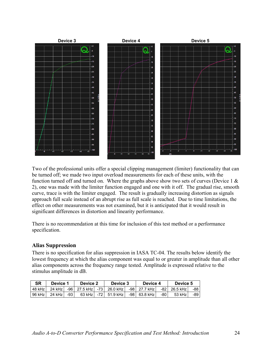

Two of the professional units offer a special clipping management (limiter) functionality that can be turned off; we made two input overload measurements for each of these units, with the function turned off and turned on. Where the graphs above show two sets of curves (Device  $1 \&$ 2), one was made with the limiter function engaged and one with it off. The gradual rise, smooth curve, trace is with the limiter engaged. The result is gradually increasing distortion as signals approach full scale instead of an abrupt rise as full scale is reached. Due to time limitations, the effect on other measurements was not examined, but it is anticipated that it would result in significant differences in distortion and linearity performance.

There is no recommendation at this time for inclusion of this test method or a performance specification.

## **Alias Suppression**

There is no specification for alias suppression in IASA TC-04. The results below identify the lowest frequency at which the alias component was equal to or greater in amplitude than all other alias components across the frequency range tested. Amplitude is expressed relative to the stimulus amplitude in dB.

| <b>SR</b> | Device 1 |       |          | Device 2 |                                 | Device 3 |                | Device 4 |                | Device 5 |  |
|-----------|----------|-------|----------|----------|---------------------------------|----------|----------------|----------|----------------|----------|--|
| 48 kHz    | 24 kHz l |       |          |          | -96   27.5 kHz   -73   26.0 kHz |          | -98 27.7 kHz l |          | -82 26.5 kHz l | -88 l    |  |
| 96 kHz l  | 24 kHz i | $-93$ | 63 kHz l | $-72$    | 51.9 kHz l                      |          | -98 63.8 kHz l | -80      | 53 kHz         | -89 I    |  |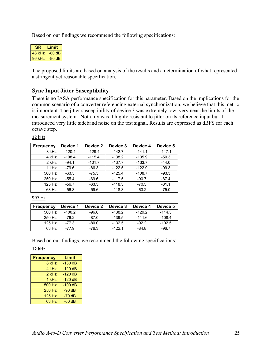Based on our findings we recommend the following specifications:

| SR     | Limit  |
|--------|--------|
| 48 kHz | -80 dB |
| 96 kHz | -80 dB |

The proposed limits are based on analysis of the results and a determination of what represented a stringent yet reasonable specification.

## **Sync Input Jitter Susceptibility**

There is no IASA performance specification for this parameter. Based on the implications for the common scenario of a converter referencing external synchronization, we believe that this metric is important. The jitter susceptibility of device 3 was extremely low, very near the limits of the measurement system. Not only was it highly resistant to jitter on its reference input but it introduced very little sideband noise on the test signal. Results are expressed as dBFS for each octave step.

12 kHz

| <b>Frequency</b> | Device 1 | Device 2 | Device 3 | Device 4 | Device 5 |
|------------------|----------|----------|----------|----------|----------|
| 8 kHz            | $-120.4$ | $-129.4$ | $-142.7$ | $-141.1$ | $-117.1$ |
| 4 kHz            | $-108.4$ | $-115.4$ | $-138.2$ | $-135.9$ | $-50.3$  |
| $2$ kHz          | $-94.1$  | $-101.7$ | $-137.7$ | $-133.7$ | $-44.0$  |
| 1 kHz            | $-79.6$  | $-86.3$  | $-122.5$ | $-122.9$ | $-99.3$  |
| 500 Hz           | $-63.5$  | $-75.3$  | $-125.4$ | $-108.7$ | $-93.3$  |
| 250 Hz           | $-55.4$  | $-69.6$  | $-117.5$ | $-90.7$  | $-87.4$  |
| 125 Hz           | $-56.7$  | $-63.3$  | $-118.3$ | $-70.5$  | $-81.1$  |
| 63 Hz            | $-56.3$  | $-59.6$  | $-118.3$ | $-63.2$  | $-75.0$  |

997 Hz

| <b>Frequency</b> | Device 1 | Device 2 | Device 3 | Device 4 | Device 5 |
|------------------|----------|----------|----------|----------|----------|
| 500 Hz           | $-100.2$ | -96.6    | $-138.2$ | $-129.2$ | $-114.3$ |
| 250 Hz           | $-76.2$  | $-87.0$  | $-139.5$ | $-111.6$ | $-108.4$ |
| $125$ Hz         | $-77.3$  | $-80.0$  | $-132.5$ | $-92.2$  | $-102.5$ |
| 63 Hz            | $-77.9$  | -76.3    | $-122.1$ | $-84.8$  | $-96.7$  |

Based on our findings, we recommend the following specifications:

12 kHz

| <b>Frequency</b> | Limit     |
|------------------|-----------|
| 8 kHz            | $-130$ dB |
| 4 kHz            | $-120$ dB |
| $2$ kHz          | $-120$ dB |
| 1 kHz            | $-120dB$  |
| 500 Hz           | $-100$ dB |
| <b>250 Hz</b>    | $-90$ dB  |
| <b>125 Hz</b>    | $-70dB$   |
| 63 Hz            | $-60$ dB  |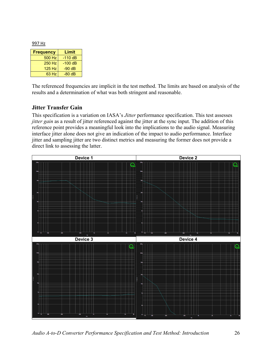997 Hz

| <b>Frequency</b> | Limit     |
|------------------|-----------|
| 500 Hz           | $-110$ dB |
| 250 Hz           | -100 dB   |
| 125 Hz           | $-90$ dB  |
| 63 Hz            | $-80$ dB  |

The referenced frequencies are implicit in the test method. The limits are based on analysis of the results and a determination of what was both stringent and reasonable.

#### **Jitter Transfer Gain**

This specification is a variation on IASA's *Jitter* performance specification. This test assesses *jitter gain* as a result of jitter referenced against the jitter at the sync input. The addition of this reference point provides a meaningful look into the implications to the audio signal. Measuring interface jitter alone does not give an indication of the impact to audio performance. Interface jitter and sampling jitter are two distinct metrics and measuring the former does not provide a direct link to assessing the latter.



*Audio A-to-D Converter Performance Specification and Test Method: Introduction* 26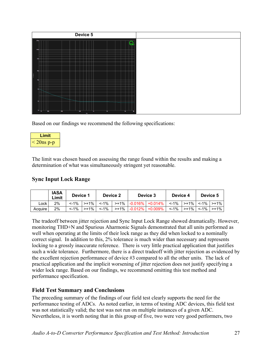|                             |      | Device 5 |   |  |  |
|-----------------------------|------|----------|---|--|--|
| 200 <sub>n</sub><br>100n    | - 11 |          | − |  |  |
| 60t                         |      |          |   |  |  |
| 20n<br>$\frac{8}{6}$<br>10n | . .  |          |   |  |  |
| Кn                          |      |          |   |  |  |
| 2n                          |      |          |   |  |  |

Based on our findings we recommend the following specifications:

| Limit        |  |
|--------------|--|
| $<$ 20ns p-p |  |

The limit was chosen based on assessing the range found within the results and making a determination of what was simultaneously stringent yet reasonable.

## **Sync Input Lock Range**

|         | <b>IASA</b><br>∟imit | Device 1 |          | Device 2 |          | Device 3  |                          | Device 4 |                    | Device 5 |                       |
|---------|----------------------|----------|----------|----------|----------|-----------|--------------------------|----------|--------------------|----------|-----------------------|
| ∟ock    | 2%                   | $< -1\%$ | $> +1\%$ | $< -1\%$ |          |           | >+1%   -0.016%   +0.014% | $< -1\%$ | $\rightarrow +1\%$ |          | $\leq$ -1% $\geq$ +1% |
| Acquire | 2%                   | $< -1\%$ | $> +1\%$ | $< -1\%$ | $> +1\%$ | $-0.012%$ | +0.009%                  | $< -1\%$ | $> +1\%$           | $< -1\%$ | $> +1\%$              |

The tradeoff between jitter rejection and Sync Input Lock Range showed dramatically. However, monitoring THD+N and Spurious Aharmonic Signals demonstrated that all units performed as well when operating at the limits of their lock range as they did when locked to a nominally correct signal. In addition to this, 2% tolerance is much wider than necessary and represents locking to a grossly inaccurate reference. There is very little practical application that justifies such a wide tolerance. Furthermore, there is a direct tradeoff with jitter rejection as evidenced by the excellent rejection performance of device #3 compared to all the other units. The lack of practical application and the implicit worsening of jitter rejection does not justify specifying a wider lock range. Based on our findings, we recommend omitting this test method and performance specification.

## **Field Test Summary and Conclusions**

The preceding summary of the findings of our field test clearly supports the need for the performance testing of ADCs. As noted earlier, in terms of testing ADC devices, this field test was not statistically valid; the test was not run on multiple instances of a given ADC. Nevertheless, it is worth noting that in this group of five, two were very good performers, two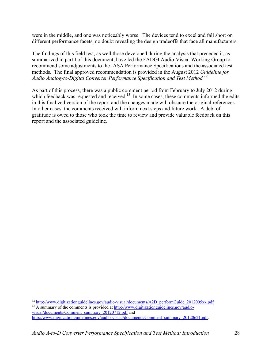were in the middle, and one was noticeably worse. The devices tend to excel and fall short on different performance facets, no doubt revealing the design tradeoffs that face all manufacturers.

The findings of this field test, as well those developed during the analysis that preceded it, as summarized in part I of this document, have led the FADGI Audio-Visual Working Group to recommend some adjustments to the IASA Performance Specifications and the associated test methods. The final approved recommendation is provided in the August 2012 *Guideline for Audio Analog-to-Digital Converter Performance Specification and Test Method.12*

As part of this process, there was a public comment period from February to July 2012 during which feedback was requested and received.<sup>13</sup> In some cases, these comments informed the edits in this finalized version of the report and the changes made will obscure the original references. In other cases, the comments received will inform next steps and future work. A debt of gratitude is owed to those who took the time to review and provide valuable feedback on this report and the associated guideline.

visual/documents/Comment\_summary\_20120712.pdf and http://www.digitizationguidelines.gov/audio-visual/documents/Comment\_summary\_20120621.pdf.

 $\overline{a}$ <sup>12</sup> http://www.digitizationguidelines.gov/audio-visual/documents/A2D\_performGuide\_2012005xx.pdf  $\overline{13}$  A summary of the comments is provided at http://www.digitizationguidelines.gov/audio-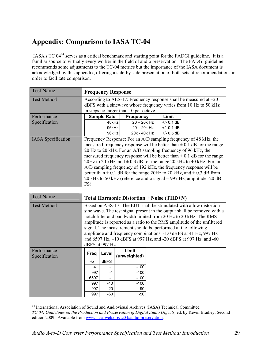# **Appendix: Comparison to IASA TC-04**

 IASA's TC 0414 serves as a critical benchmark and starting point for the FADGI guideline. It is a familiar source to virtually every worker in the field of audio preservation. The FADGI guideline recommends some adjustments to the TC-04 metrics but the importance of the IASA document is acknowledged by this appendix, offering a side-by-side presentation of both sets of recommendations in order to facilitate comparison.

| <b>Test Name</b>          | <b>Frequency Response</b>                                                                                                              |                  |              |                                                                                                                                                                                                                                                                                                                                                                                                                                                                                                                                       |  |  |  |
|---------------------------|----------------------------------------------------------------------------------------------------------------------------------------|------------------|--------------|---------------------------------------------------------------------------------------------------------------------------------------------------------------------------------------------------------------------------------------------------------------------------------------------------------------------------------------------------------------------------------------------------------------------------------------------------------------------------------------------------------------------------------------|--|--|--|
| <b>Test Method</b>        | According to AES-17: Frequency response shall be measured at $-20$<br>dBFS with a sinewave whose frequency varies from 10 Hz to 50 kHz |                  |              |                                                                                                                                                                                                                                                                                                                                                                                                                                                                                                                                       |  |  |  |
|                           | in steps no larger than 10 per octave.                                                                                                 |                  |              |                                                                                                                                                                                                                                                                                                                                                                                                                                                                                                                                       |  |  |  |
| Performance               | <b>Sample Rate</b>                                                                                                                     | <b>Frequency</b> | Limit        |                                                                                                                                                                                                                                                                                                                                                                                                                                                                                                                                       |  |  |  |
| Specification             | 48kHz                                                                                                                                  | $20 - 20k$ Hz    | $+/- 0.1$ dB |                                                                                                                                                                                                                                                                                                                                                                                                                                                                                                                                       |  |  |  |
|                           | 96kHz                                                                                                                                  | $20 - 20k$ Hz    | $+/- 0.1$ dB |                                                                                                                                                                                                                                                                                                                                                                                                                                                                                                                                       |  |  |  |
|                           | 96kHz                                                                                                                                  | 20k - 40k Hz     | $+/- 0.5$ dB |                                                                                                                                                                                                                                                                                                                                                                                                                                                                                                                                       |  |  |  |
| <b>IASA</b> Specification | 20 Hz to 20 kHz. For an A/D sampling frequency of 96 kHz, the<br>$FS$ ).                                                               |                  |              | Frequency Response: For an A/D sampling frequency of 48 kHz, the<br>measured frequency response will be better than $\pm$ 0.1 dB for the range<br>measured frequency response will be better than $\pm$ 0.1 dB for the range<br>20Hz to 20 kHz, and $\pm$ 0.3 dB for the range 20 kHz to 40 kHz. For an<br>A/D sampling frequency of 192 kHz, the frequency response will be<br>better than $\pm$ 0.1 dB for the range 20Hz to 20 kHz, and $\pm$ 0.3 dB from<br>20 kHz to 50 kHz (reference audio signal = $997$ Hz, amplitude -20 dB |  |  |  |

| <b>Test Name</b>             | <b>Total Harmonic Distortion + Noise (THD+N)</b>                                                                                                                                                                                                                                                                                                                                                                                                                                                                         |             |        |  |  |  |  |  |
|------------------------------|--------------------------------------------------------------------------------------------------------------------------------------------------------------------------------------------------------------------------------------------------------------------------------------------------------------------------------------------------------------------------------------------------------------------------------------------------------------------------------------------------------------------------|-------------|--------|--|--|--|--|--|
| Test Method                  | Based on AES-17: The EUT shall be stimulated with a low distortion<br>sine wave. The test signal present in the output shall be removed with a<br>notch filter and bandwidth limited from 20 Hz to 20 kHz. The RMS<br>amplitude is reported as a ratio to the RMS amplitude of the unfiltered<br>signal. The measurement should be performed at the following<br>amplitude and frequency combinations: -1.0 dBFS at 41 Hz, 997 Hz<br>and 6597 Hz, -10 dBFS at 997 Hz, and -20 dBFS at 997 Hz, and -60<br>dBFS at 997 Hz. |             |        |  |  |  |  |  |
| Performance<br>Specification | Limit<br>Level<br>Freg<br>(unweighted)                                                                                                                                                                                                                                                                                                                                                                                                                                                                                   |             |        |  |  |  |  |  |
|                              | Hz                                                                                                                                                                                                                                                                                                                                                                                                                                                                                                                       | <b>dBFS</b> |        |  |  |  |  |  |
|                              | 41                                                                                                                                                                                                                                                                                                                                                                                                                                                                                                                       | -1          | $-100$ |  |  |  |  |  |
|                              | 997<br>$-100$<br>-1                                                                                                                                                                                                                                                                                                                                                                                                                                                                                                      |             |        |  |  |  |  |  |
|                              | $-100$<br>6597<br>-1                                                                                                                                                                                                                                                                                                                                                                                                                                                                                                     |             |        |  |  |  |  |  |
|                              | 997                                                                                                                                                                                                                                                                                                                                                                                                                                                                                                                      | $-10$       | $-100$ |  |  |  |  |  |
|                              | 997                                                                                                                                                                                                                                                                                                                                                                                                                                                                                                                      | $-20$       | -90    |  |  |  |  |  |
|                              | 997                                                                                                                                                                                                                                                                                                                                                                                                                                                                                                                      | -60         | -50    |  |  |  |  |  |

<sup>&</sup>lt;sup>14</sup> International Association of Sound and Audiovisual Archives (IASA) Technical Committee. *TC 04: Guidelines on the Production and Preservation of Digital Audio Objects*, ed. by Kevin Bradley. Second edition 2009. Available from www.iasa-web.org/tc04/audio-preservation.

 $\overline{a}$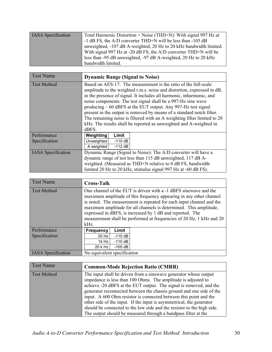| <b>IASA</b> Specification | Total Harmonic Distortion + Noise (THD+N): With signal 997 Hz at   |
|---------------------------|--------------------------------------------------------------------|
|                           | -1 dB FS, the A/D converter THD+N will be less than -105 dB        |
|                           | unweighted, -107 dB A-weighted, 20 Hz to 20 kHz bandwidth limited. |
|                           | With signal 997 Hz at -20 dB FS, the A/D converter THD+N will be   |
|                           | less than -95 dB unweighted, -97 dB A-weighted, 20 Hz to 20 kHz    |
|                           | bandwidth limited.                                                 |

| <b>Test Name</b>          | <b>Dynamic Range (Signal to Noise)</b>                                   |  |  |  |  |  |  |
|---------------------------|--------------------------------------------------------------------------|--|--|--|--|--|--|
| <b>Test Method</b>        | Based on AES-17: The measurement is the ratio of the full-scale          |  |  |  |  |  |  |
|                           | amplitude to the weighted r.m.s. noise and distortion, expressed in dB,  |  |  |  |  |  |  |
|                           | in the presence of signal. It includes all harmonic, inharmonic, and     |  |  |  |  |  |  |
|                           | noise components. The test signal shall be a 997-Hz sine wave            |  |  |  |  |  |  |
|                           | producing – 60 dBFS at the EUT output. Any 997-Hz test signal            |  |  |  |  |  |  |
|                           | present in the output is removed by means of a standard notch filter.    |  |  |  |  |  |  |
|                           | The remaining noise is filtered with an A weighting filter limited to 20 |  |  |  |  |  |  |
|                           | kHz. The results shall be reported as unweighted and A-weighted in       |  |  |  |  |  |  |
|                           | dBFS.                                                                    |  |  |  |  |  |  |
| Performance               | Weighting<br>Limit                                                       |  |  |  |  |  |  |
| Specification             | Unweighted<br>$-110$ dB                                                  |  |  |  |  |  |  |
|                           | A weighted<br>$-112$ dB                                                  |  |  |  |  |  |  |
| <b>IASA</b> Specification | Dynamic Range (Signal to Noise): The A/D converter will have a           |  |  |  |  |  |  |
|                           | dynamic range of not less than 115 dB unweighted, 117 dB A-              |  |  |  |  |  |  |
|                           | weighted. (Measured as THD+N relative to 0 dB FS, bandwidth              |  |  |  |  |  |  |
|                           | limited 20 Hz to 20 kHz, stimulus signal 997 Hz at -60 dB FS).           |  |  |  |  |  |  |

| <b>Test Name</b>          | <b>Cross-Talk</b>                                                                                                                                                                                                                                                                                                                                                                                                                |       |  |  |  |  |  |
|---------------------------|----------------------------------------------------------------------------------------------------------------------------------------------------------------------------------------------------------------------------------------------------------------------------------------------------------------------------------------------------------------------------------------------------------------------------------|-------|--|--|--|--|--|
| <b>Test Method</b>        | One channel of the EUT is driven with a -1 dBFS sinewave and the<br>maximum amplitude of this frequency appearing in any other channel<br>is noted. The measurement is repeated for each input channel and the<br>maximum amplitude for all channels is determined. This amplitude,<br>expressed in dBFS, is increased by 1 dB and reported. The<br>measurement shall be performed at frequencies of 20 Hz, 1 kHz and 20<br>kHz. |       |  |  |  |  |  |
| Performance               | <b>Frequency</b>                                                                                                                                                                                                                                                                                                                                                                                                                 | Limit |  |  |  |  |  |
| Specification             | $-110$ dB<br>20 Hz                                                                                                                                                                                                                                                                                                                                                                                                               |       |  |  |  |  |  |
|                           | $-110$ dB<br>1k Hz                                                                                                                                                                                                                                                                                                                                                                                                               |       |  |  |  |  |  |
|                           | 20 k Hz<br>$-105$ dB                                                                                                                                                                                                                                                                                                                                                                                                             |       |  |  |  |  |  |
| <b>IASA</b> Specification | No equivalent specification                                                                                                                                                                                                                                                                                                                                                                                                      |       |  |  |  |  |  |

| <b>Test Name</b>   | <b>Common-Mode Rejection Ratio (CMRR)</b>                                                                                                                                                                                                                                                                                                                                                                                                                                                                                                                                |
|--------------------|--------------------------------------------------------------------------------------------------------------------------------------------------------------------------------------------------------------------------------------------------------------------------------------------------------------------------------------------------------------------------------------------------------------------------------------------------------------------------------------------------------------------------------------------------------------------------|
| <b>Test Method</b> | The input shall be driven from a sinewave generator whose output<br>impedance is less than 100 Ohms. The amplitude is adjusted to<br>achieve -20 dBFS at the EUT output. The signal is removed, and the<br>generator reconnected between the chassis ground and one side of the<br>input. A 600 Ohm resistor is connected between this point and the<br>other side of the input. If the input is asymmetrical, the generator<br>should be connected to the low side and the resistor to the high side.<br>The output should be measured through a bandpass filter at the |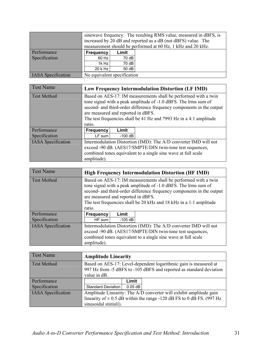|                           | sinewave frequency. The resulting RMS value, measured in dBFS, is<br>increased by 20 dB and reported as a dB (not dBFS) value. The<br>measurement should be performed at 60 Hz, 1 kHz and 20 kHz. |       |  |  |  |  |  |  |
|---------------------------|---------------------------------------------------------------------------------------------------------------------------------------------------------------------------------------------------|-------|--|--|--|--|--|--|
| Performance               | <b>Frequency</b><br>Limit                                                                                                                                                                         |       |  |  |  |  |  |  |
| Specification             | 60 Hz                                                                                                                                                                                             | 70 dB |  |  |  |  |  |  |
|                           | 1k Hz<br>70 dB                                                                                                                                                                                    |       |  |  |  |  |  |  |
|                           | 20 k Hz<br>50dB                                                                                                                                                                                   |       |  |  |  |  |  |  |
| <b>IASA</b> Specification | No equivalent specification                                                                                                                                                                       |       |  |  |  |  |  |  |

| <b>Test Name</b>          |                                                                       |           | <b>Low Frequency Intermodulation Distortion (LF IMD)</b>         |
|---------------------------|-----------------------------------------------------------------------|-----------|------------------------------------------------------------------|
| <b>Test Method</b>        | Based on AES-17: IM measurements shall be performed with a twin       |           |                                                                  |
|                           | tone signal with a peak amplitude of -1.0 dBFS. The lrms sum of       |           |                                                                  |
|                           | second- and third-order difference frequency components in the output |           |                                                                  |
|                           | are measured and reported in dBFS.                                    |           |                                                                  |
|                           | The test frequencies shall be 41 Hz and 7993 Hz in a 4:1 amplitude    |           |                                                                  |
|                           | ratio.                                                                |           |                                                                  |
| Performance               | <b>Frequency</b>                                                      | Limit     |                                                                  |
| Specification             | LF sum                                                                | $-100$ dB |                                                                  |
| <b>IASA</b> Specification |                                                                       |           | Intermodulation Distortion (IMD): The A/D converter IMD will not |
|                           | exceed -90 dB. (AES17/SMPTE/DIN twin-tone test sequences,             |           |                                                                  |
|                           | combined tones equivalent to a single sine wave at full scale         |           |                                                                  |
|                           | amplitude).                                                           |           |                                                                  |

| <b>Test Name</b>          |                                                                                                                                                                                                                                                                                                                                   |           | <b>High Frequency Intermodulation Distortion (HF IMD)</b>                                                                                                                                      |
|---------------------------|-----------------------------------------------------------------------------------------------------------------------------------------------------------------------------------------------------------------------------------------------------------------------------------------------------------------------------------|-----------|------------------------------------------------------------------------------------------------------------------------------------------------------------------------------------------------|
| Test Method               | Based on AES-17: IM measurements shall be performed with a twin<br>tone signal with a peak amplitude of -1.0 dBFS. The lrms sum of<br>second- and third-order difference frequency components in the output<br>are measured and reported in dBFS.<br>The test frequencies shall be 20 kHz and 18 kHz in a 1:1 amplitude<br>ratio. |           |                                                                                                                                                                                                |
| Performance               | <b>Frequency</b>                                                                                                                                                                                                                                                                                                                  | Limit     |                                                                                                                                                                                                |
| Specification             | $HF$ sum                                                                                                                                                                                                                                                                                                                          | $-105$ dB |                                                                                                                                                                                                |
| <b>IASA</b> Specification | amplitude).                                                                                                                                                                                                                                                                                                                       |           | Intermodulation Distortion (IMD): The A/D converter IMD will not<br>exceed -90 dB. (AES17/SMPTE/DIN twin-tone test sequences,<br>combined tones equivalent to a single sine wave at full scale |

| <b>Test Name</b>          | <b>Amplitude Linearity</b> |           |                                                                                                                                         |
|---------------------------|----------------------------|-----------|-----------------------------------------------------------------------------------------------------------------------------------------|
| <b>Test Method</b>        | value in dB.               |           | Based on AES-17: Level-dependent logarithmic gain is measured at<br>997 Hz from -5 dBFS to -105 dBFS and reported as standard deviation |
| Performance               |                            | Limit     |                                                                                                                                         |
| Specification             | <b>Standard Deviation</b>  | $0.05$ dB |                                                                                                                                         |
| <b>IASA</b> Specification |                            |           | Amplitude Linearity: The A/D converter will exhibit amplitude gain                                                                      |
|                           |                            |           | linearity of $\pm$ 0.5 dB within the range -120 dB FS to 0 dB FS. (997 Hz                                                               |
|                           | sinusoidal stimuli).       |           |                                                                                                                                         |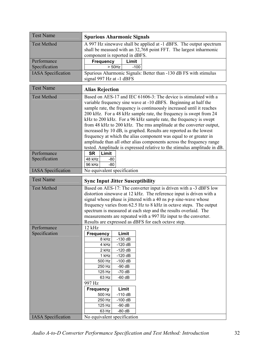| <b>Test Name</b>          | <b>Spurious Aharmonic Signals</b>                                                                                                          |  |
|---------------------------|--------------------------------------------------------------------------------------------------------------------------------------------|--|
| <b>Test Method</b>        | A 997 Hz sinewave shall be applied at -1 dBFS. The output spectrum                                                                         |  |
|                           | shall be measued with an 32,768 point FFT. The largest inharmonic                                                                          |  |
| Performance               | component is reported in dBFS.                                                                                                             |  |
| Specification             | <b>Frequency</b><br>Limit<br>$>$ 50Hz<br>$-100$                                                                                            |  |
| <b>IASA</b> Specification | Spurious Aharmonic Signals: Better than -130 dB FS with stimulus                                                                           |  |
|                           | signal 997 Hz at -1 dBFS                                                                                                                   |  |
| <b>Test Name</b>          | <b>Alias Rejection</b>                                                                                                                     |  |
| <b>Test Method</b>        | Based on AES-17 and IEC 61606-3: The device is stimulated with a                                                                           |  |
|                           | variable frequency sine wave at -10 dBFS. Beginning at half the                                                                            |  |
|                           | sample rate, the frequency is continuously increased until it reaches<br>200 kHz. For a 48 kHz sample rate, the frequency is swept from 24 |  |
|                           | kHz to 200 kHz. For a 96 kHz sample rate, the frequency is swept                                                                           |  |
|                           | from 48 kHz to 200 kHz. The rms amplitude at the converter output,                                                                         |  |
|                           | increased by 10 dB, is graphed. Results are reported as the lowest                                                                         |  |
|                           | frequency at which the alias component was equal to or greater in                                                                          |  |
|                           | amplitude than all other alias components across the frequency range                                                                       |  |
|                           | tested. Amplitude is expressed relative to the stimulus amplitude in dB.                                                                   |  |
| Performance               | <b>SR</b><br>Limit                                                                                                                         |  |
| Specification             | 48 kHz<br>-80<br>$-80$<br>96 kHz                                                                                                           |  |
| <b>IASA</b> Specification | No equivalent specification                                                                                                                |  |
|                           |                                                                                                                                            |  |
|                           |                                                                                                                                            |  |
| <b>Test Name</b>          | <b>Sync Input Jitter Susceptibility</b>                                                                                                    |  |
| <b>Test Method</b>        | Based on AES-17: The converter input is driven with a -3 dBFS low                                                                          |  |
|                           | distortion sinewave at 12 kHz. The reference input is driven with a                                                                        |  |
|                           | signal whose phase is jittered with a 40 ns p-p sine-wave whose                                                                            |  |
|                           | frequency varies from 62.5 Hz to 8 kHz in octave steps. The output                                                                         |  |
|                           | spectrum is measured at each step and the results overlaid. The                                                                            |  |
|                           | measurements are repeated with a 997 Hz input to the converter.<br>Results are expressed as dBFS for each octave step.                     |  |
| Performance               | 12 kHz                                                                                                                                     |  |
| Specification             | Limit<br><b>Frequency</b>                                                                                                                  |  |
|                           | 8 kHz<br>$-130$ dB                                                                                                                         |  |
|                           | $-120$ dB<br>4 kHz                                                                                                                         |  |
|                           | 2 kHz<br>$-120$ dB                                                                                                                         |  |
|                           | 1 kHz<br>$-120$ dB                                                                                                                         |  |
|                           | 500 Hz<br>$-100$ dB                                                                                                                        |  |
|                           | 250 Hz<br>$-90dB$<br>125 Hz<br>$-70dB$                                                                                                     |  |
|                           | 63 Hz<br>$-60$ dB                                                                                                                          |  |
|                           | 997 Hz                                                                                                                                     |  |
|                           | <b>Frequency</b><br>Limit                                                                                                                  |  |
|                           | $-110dB$<br>500 Hz                                                                                                                         |  |
|                           | $-100$ dB<br>250 Hz                                                                                                                        |  |
|                           | 125 Hz<br>$-90dB$<br>63 Hz<br>$-80$ dB                                                                                                     |  |